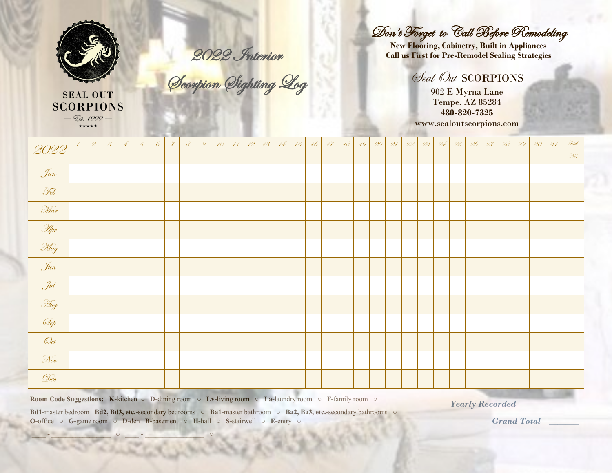

**SEAL OUT SCORPIONS**  $-$  Est. 1999  $-$ \*\*\*\*\*

2022 Interior

Scorpion Sighting Log

## Don't Forget to Call Before Remodeling

**New Flooring, Cabinetry, Built in Appliances Call us First for Pre-Remodel Sealing Strategies**

## Seal Out SCORPIONS

902 E Myrna Lane Tempe, AZ 85284 **480-820-7325** www.sealoutscorpions.com

| 2022                                                                                                                                       | $\mathcal Q$ | $\mathcal{S}$ | 4 | $\delta$ | 6 | $\tilde{z}$ | $\mathcal{S}$ | $\overline{Q}$ | $10^{-7}$ | $\ell\ell$ | 12 | 13 | 14 | 15 | 16 | $\sqrt{7}$ | 18 <sup>°</sup> | 19 <sup>°</sup> | $\mathscr{Q} O$ | 21 | $\mathscr{Q}\!\mathscr{Q}$ | $\mathcal{Q}\mathcal{Z}$ | 24 | 25 | 26 | 27           | $\mathscr{Q}\hspace{-0.05cm}\mathscr{S}$ | 29 | 30 <sup>°</sup> | 31 | Total<br>$\mathcal{K}.$ |
|--------------------------------------------------------------------------------------------------------------------------------------------|--------------|---------------|---|----------|---|-------------|---------------|----------------|-----------|------------|----|----|----|----|----|------------|-----------------|-----------------|-----------------|----|----------------------------|--------------------------|----|----|----|--------------|------------------------------------------|----|-----------------|----|-------------------------|
| Jan                                                                                                                                        |              |               |   |          |   |             |               |                |           |            |    |    |    |    |    |            |                 |                 |                 |    |                            |                          |    |    |    |              |                                          |    |                 |    |                         |
| Feb                                                                                                                                        |              |               |   |          |   |             |               |                |           |            |    |    |    |    |    |            |                 |                 |                 |    |                            |                          |    |    |    |              |                                          |    |                 |    |                         |
| Mar                                                                                                                                        |              |               |   |          |   |             |               |                |           |            |    |    |    |    |    |            |                 |                 |                 |    |                            |                          |    |    |    |              |                                          |    |                 |    |                         |
| <b>Apr</b>                                                                                                                                 |              |               |   |          |   |             |               |                |           |            |    |    |    |    |    |            |                 |                 |                 |    |                            |                          |    |    |    |              |                                          |    |                 |    |                         |
| May                                                                                                                                        |              |               |   |          |   |             |               |                |           |            |    |    |    |    |    |            |                 |                 |                 |    |                            |                          |    |    |    |              |                                          |    |                 |    |                         |
| Jun                                                                                                                                        |              |               |   |          |   |             |               |                |           |            |    |    |    |    |    |            |                 |                 |                 |    |                            |                          |    |    |    |              |                                          |    |                 |    |                         |
| Sul                                                                                                                                        |              |               |   |          |   |             |               |                |           |            |    |    |    |    |    |            |                 |                 |                 |    |                            |                          |    |    |    |              |                                          |    |                 |    |                         |
| Hug                                                                                                                                        |              |               |   |          |   |             |               |                |           |            |    |    |    |    |    |            |                 |                 |                 |    |                            |                          |    |    |    |              |                                          |    |                 |    |                         |
| Sep                                                                                                                                        |              |               |   |          |   |             |               |                |           |            |    |    |    |    |    |            |                 |                 |                 |    |                            |                          |    |    |    |              |                                          |    |                 |    |                         |
| $\mathcal{O}_{ct}$                                                                                                                         |              |               |   |          |   |             |               |                |           |            |    |    |    |    |    |            |                 |                 |                 |    |                            |                          |    |    |    |              |                                          |    |                 |    |                         |
| $\mathcal{N}_{ov}$                                                                                                                         |              |               |   |          |   |             |               |                |           |            |    |    |    |    |    |            |                 |                 |                 |    |                            |                          |    |    |    |              |                                          |    |                 |    |                         |
| Dec                                                                                                                                        |              |               |   |          |   |             |               |                |           |            |    |    |    |    |    |            |                 |                 |                 |    |                            |                          |    |    |    |              |                                          |    |                 |    |                         |
| <b>Room Code Suggestions:</b> K-kitchen $\circ$ D-dining room $\circ$ Lv-living room $\circ$ La-laundry room $\circ$ F-family room $\circ$ |              |               |   |          |   |             |               |                |           |            |    |    |    |    |    |            |                 |                 |                 |    |                            |                          |    |    |    | $\mathbf{v}$ |                                          |    |                 |    |                         |

*Yearly Recorded* 

**Bd1-**master bedroom **Bd2, Bd3, etc.-**secondary bedrooms **○ Ba1-**master bathroom **○ Ba2, Ba3, etc.-**secondary bathrooms **○ O-**office **○ G-**game room **○ D-**den **B-**basement **○ H-**hall **○ S-**stairwell **○ E-**entry **○** 

**\_\_\_\_ - \_\_\_\_\_\_\_\_\_\_\_\_\_\_\_\_\_ ○ \_\_\_\_ - \_\_\_\_\_\_\_\_\_\_\_\_\_\_\_\_\_ ○** 

 *Grand Total* **\_\_\_\_\_\_\_**